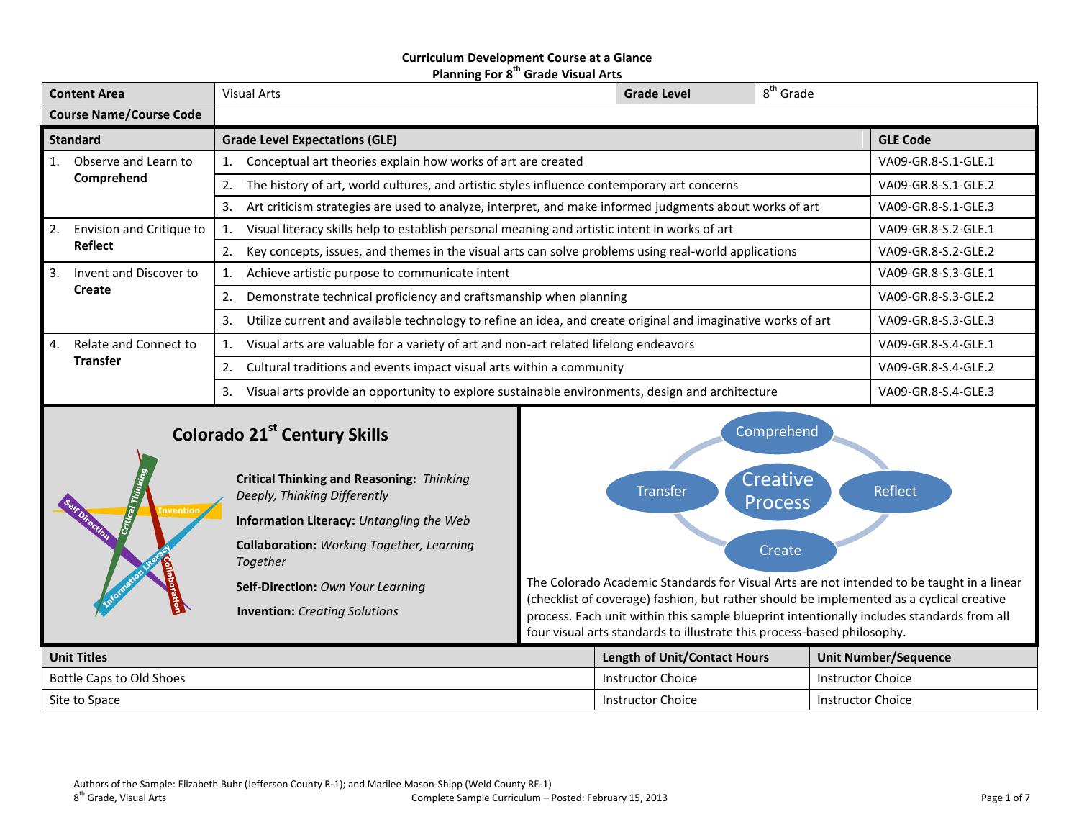### **Curriculum Development Course at a Glance Planning For 8 th Grade Visual Arts**

| <b>Content Area</b>            |                          | <b>Visual Arts</b>                                                                                                 | <b>Grade Level</b> | 8 <sup>th</sup> Grade |                     |
|--------------------------------|--------------------------|--------------------------------------------------------------------------------------------------------------------|--------------------|-----------------------|---------------------|
| <b>Course Name/Course Code</b> |                          |                                                                                                                    |                    |                       |                     |
|                                | <b>Standard</b>          | <b>Grade Level Expectations (GLE)</b>                                                                              |                    |                       | <b>GLE Code</b>     |
|                                | Observe and Learn to     | Conceptual art theories explain how works of art are created                                                       |                    |                       | VA09-GR.8-S.1-GLE.1 |
|                                | Comprehend               | The history of art, world cultures, and artistic styles influence contemporary art concerns<br>2.                  |                    |                       | VA09-GR.8-S.1-GLE.2 |
|                                |                          | Art criticism strategies are used to analyze, interpret, and make informed judgments about works of art<br>3.      |                    | VA09-GR.8-S.1-GLE.3   |                     |
| 2.                             | Envision and Critique to | Visual literacy skills help to establish personal meaning and artistic intent in works of art                      |                    |                       | VA09-GR.8-S.2-GLE.1 |
|                                | <b>Reflect</b>           | Key concepts, issues, and themes in the visual arts can solve problems using real-world applications<br>2.         |                    |                       | VA09-GR.8-S.2-GLE.2 |
| 3.                             | Invent and Discover to   | Achieve artistic purpose to communicate intent                                                                     |                    |                       | VA09-GR.8-S.3-GLE.1 |
|                                | Create                   | Demonstrate technical proficiency and craftsmanship when planning<br>2.                                            |                    |                       | VA09-GR.8-S.3-GLE.2 |
|                                |                          | Utilize current and available technology to refine an idea, and create original and imaginative works of art<br>3. |                    |                       | VA09-GR.8-S.3-GLE.3 |
| 4.                             | Relate and Connect to    | Visual arts are valuable for a variety of art and non-art related lifelong endeavors                               |                    |                       | VA09-GR.8-S.4-GLE.1 |
|                                | <b>Transfer</b>          | Cultural traditions and events impact visual arts within a community<br>2.                                         |                    |                       | VA09-GR.8-S.4-GLE.2 |
|                                |                          | Visual arts provide an opportunity to explore sustainable environments, design and architecture<br>3.              |                    |                       | VA09-GR.8-S.4-GLE.3 |

# **Colorado 21st Century Skills**

**Invention**

**Critical Thinking and Reasoning:** *Thinking Deeply, Thinking Differently*

**Information Literacy:** *Untangling the Web*

**Collaboration:** *Working Together, Learning Together*

**Self-Direction:** *Own Your Learning*

**Invention:** *Creating Solutions*



The Colorado Academic Standards for Visual Arts are not intended to be taught in a linear (checklist of coverage) fashion, but rather should be implemented as a cyclical creative process. Each unit within this sample blueprint intentionally includes standards from all four visual arts standards to illustrate this process-based philosophy.

| <b>Unit Titles</b>       | <b>Length of Unit/Contact Hours</b> | Unit Number/Sequence |
|--------------------------|-------------------------------------|----------------------|
| Bottle Caps to Old Shoes | Instructor Choice                   | Instructor Choice    |
| Site to Space            | Instructor Choice                   | Instructor Choice    |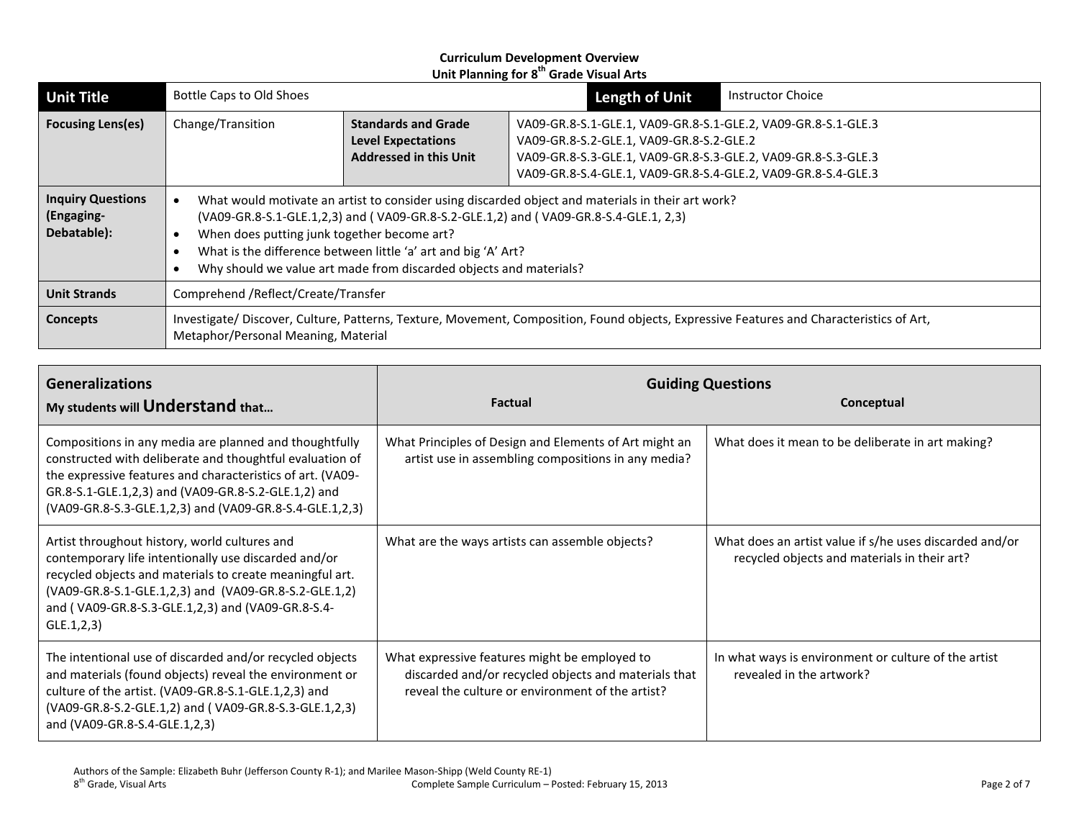| <b>Unit Title</b>                                                                                                                                                                                  | <b>Bottle Caps to Old Shoes</b>                                                                                                                                                                                                                                                                                                                                                  |                                                                                          | <b>Length of Unit</b>                                                                                                                                                                                                                       | <b>Instructor Choice</b> |
|----------------------------------------------------------------------------------------------------------------------------------------------------------------------------------------------------|----------------------------------------------------------------------------------------------------------------------------------------------------------------------------------------------------------------------------------------------------------------------------------------------------------------------------------------------------------------------------------|------------------------------------------------------------------------------------------|---------------------------------------------------------------------------------------------------------------------------------------------------------------------------------------------------------------------------------------------|--------------------------|
| <b>Focusing Lens(es)</b>                                                                                                                                                                           | Change/Transition                                                                                                                                                                                                                                                                                                                                                                | <b>Standards and Grade</b><br><b>Level Expectations</b><br><b>Addressed in this Unit</b> | VA09-GR.8-S.1-GLE.1, VA09-GR.8-S.1-GLE.2, VA09-GR.8-S.1-GLE.3<br>VA09-GR.8-S.2-GLE.1, VA09-GR.8-S.2-GLE.2<br>VA09-GR.8-S.3-GLE.1, VA09-GR.8-S.3-GLE.2, VA09-GR.8-S.3-GLE.3<br>VA09-GR.8-S.4-GLE.1, VA09-GR.8-S.4-GLE.2, VA09-GR.8-S.4-GLE.3 |                          |
| <b>Inquiry Questions</b><br>(Engaging-<br>Debatable):                                                                                                                                              | What would motivate an artist to consider using discarded object and materials in their art work?<br>(VA09-GR.8-S.1-GLE.1,2,3) and (VA09-GR.8-S.2-GLE.1,2) and (VA09-GR.8-S.4-GLE.1, 2,3)<br>When does putting junk together become art?<br>What is the difference between little 'a' art and big 'A' Art?<br>Why should we value art made from discarded objects and materials? |                                                                                          |                                                                                                                                                                                                                                             |                          |
| <b>Unit Strands</b>                                                                                                                                                                                | Comprehend /Reflect/Create/Transfer                                                                                                                                                                                                                                                                                                                                              |                                                                                          |                                                                                                                                                                                                                                             |                          |
| Investigate/ Discover, Culture, Patterns, Texture, Movement, Composition, Found objects, Expressive Features and Characteristics of Art,<br><b>Concepts</b><br>Metaphor/Personal Meaning, Material |                                                                                                                                                                                                                                                                                                                                                                                  |                                                                                          |                                                                                                                                                                                                                                             |                          |

| <b>Generalizations</b><br>My students will Understand that                                                                                                                                                                                                                                         | <b>Factual</b>                                                                                                                                            | <b>Guiding Questions</b><br>Conceptual                                                                  |
|----------------------------------------------------------------------------------------------------------------------------------------------------------------------------------------------------------------------------------------------------------------------------------------------------|-----------------------------------------------------------------------------------------------------------------------------------------------------------|---------------------------------------------------------------------------------------------------------|
| Compositions in any media are planned and thoughtfully<br>constructed with deliberate and thoughtful evaluation of<br>the expressive features and characteristics of art. (VA09-<br>GR.8-S.1-GLE.1,2,3) and (VA09-GR.8-S.2-GLE.1,2) and<br>(VA09-GR.8-S.3-GLE.1,2,3) and (VA09-GR.8-S.4-GLE.1,2,3) | What Principles of Design and Elements of Art might an<br>artist use in assembling compositions in any media?                                             | What does it mean to be deliberate in art making?                                                       |
| Artist throughout history, world cultures and<br>contemporary life intentionally use discarded and/or<br>recycled objects and materials to create meaningful art.<br>(VA09-GR.8-S.1-GLE.1,2,3) and (VA09-GR.8-S.2-GLE.1,2)<br>and (VA09-GR.8-S.3-GLE.1,2,3) and (VA09-GR.8-S.4-<br>GLE.1, 2, 3)    | What are the ways artists can assemble objects?                                                                                                           | What does an artist value if s/he uses discarded and/or<br>recycled objects and materials in their art? |
| The intentional use of discarded and/or recycled objects<br>and materials (found objects) reveal the environment or<br>culture of the artist. (VA09-GR.8-S.1-GLE.1,2,3) and<br>(VA09-GR.8-S.2-GLE.1,2) and (VA09-GR.8-S.3-GLE.1,2,3)<br>and (VA09-GR.8-S.4-GLE.1,2,3)                              | What expressive features might be employed to<br>discarded and/or recycled objects and materials that<br>reveal the culture or environment of the artist? | In what ways is environment or culture of the artist<br>revealed in the artwork?                        |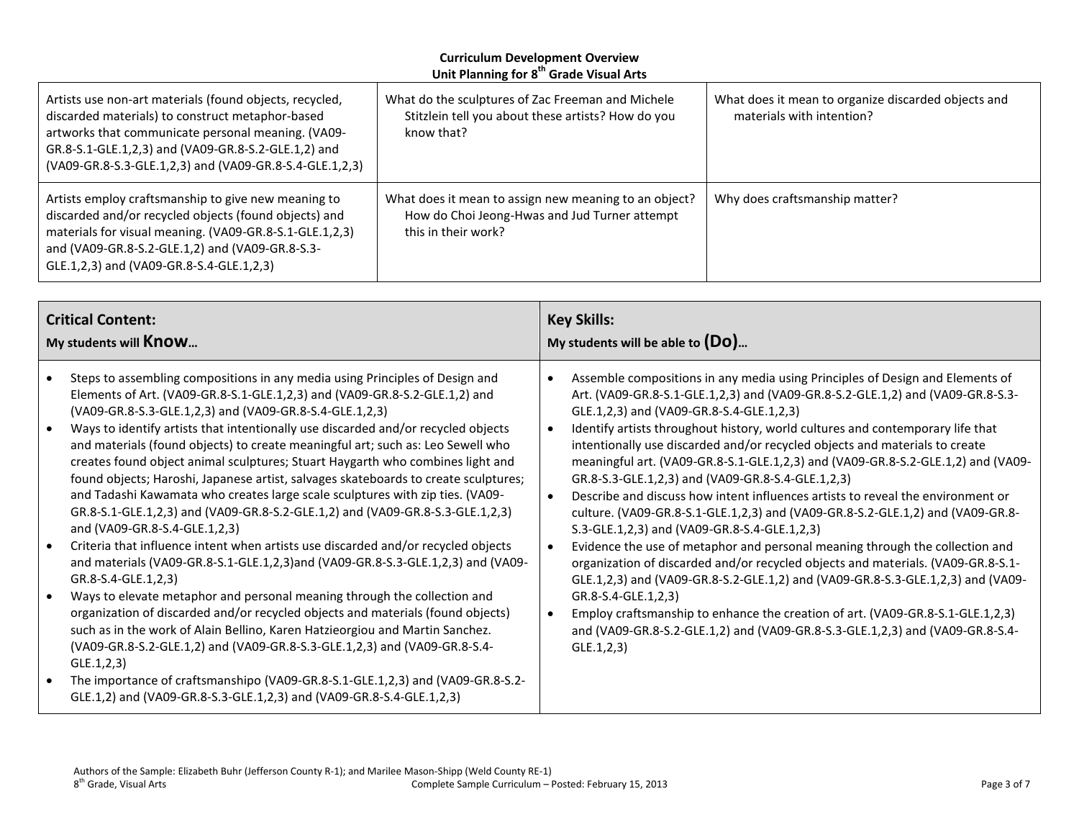| Artists use non-art materials (found objects, recycled,<br>discarded materials) to construct metaphor-based<br>artworks that communicate personal meaning. (VA09-<br>GR.8-S.1-GLE.1,2,3) and (VA09-GR.8-S.2-GLE.1,2) and<br>(VA09-GR.8-S.3-GLE.1,2,3) and (VA09-GR.8-S.4-GLE.1,2,3) | What do the sculptures of Zac Freeman and Michele<br>Stitzlein tell you about these artists? How do you<br>know that?         | What does it mean to organize discarded objects and<br>materials with intention? |  |
|-------------------------------------------------------------------------------------------------------------------------------------------------------------------------------------------------------------------------------------------------------------------------------------|-------------------------------------------------------------------------------------------------------------------------------|----------------------------------------------------------------------------------|--|
| Artists employ craftsmanship to give new meaning to<br>discarded and/or recycled objects (found objects) and<br>materials for visual meaning. (VA09-GR.8-S.1-GLE.1,2,3)<br>and (VA09-GR.8-S.2-GLE.1,2) and (VA09-GR.8-S.3-<br>GLE.1,2,3) and (VA09-GR.8-S.4-GLE.1,2,3)              | What does it mean to assign new meaning to an object?<br>How do Choi Jeong-Hwas and Jud Turner attempt<br>this in their work? | Why does craftsmanship matter?                                                   |  |

| <b>Critical Content:</b>                                                                                                                                                                                                                                                                                                                                                                                                                                                                                                                                                                                                                                                                                                                                                                                                                                                                                                                                                                                                                                                                                                                                                                                                                                                                                                                                                                                                                                                                                                                        | <b>Key Skills:</b>                                                                                                                                                                                                                                                                                                                                                                                                                                                                                                                                                                                                                                                                                                                                                                                                                                                                                                                                                                                                                                                                                                                                                                                                                                 |  |
|-------------------------------------------------------------------------------------------------------------------------------------------------------------------------------------------------------------------------------------------------------------------------------------------------------------------------------------------------------------------------------------------------------------------------------------------------------------------------------------------------------------------------------------------------------------------------------------------------------------------------------------------------------------------------------------------------------------------------------------------------------------------------------------------------------------------------------------------------------------------------------------------------------------------------------------------------------------------------------------------------------------------------------------------------------------------------------------------------------------------------------------------------------------------------------------------------------------------------------------------------------------------------------------------------------------------------------------------------------------------------------------------------------------------------------------------------------------------------------------------------------------------------------------------------|----------------------------------------------------------------------------------------------------------------------------------------------------------------------------------------------------------------------------------------------------------------------------------------------------------------------------------------------------------------------------------------------------------------------------------------------------------------------------------------------------------------------------------------------------------------------------------------------------------------------------------------------------------------------------------------------------------------------------------------------------------------------------------------------------------------------------------------------------------------------------------------------------------------------------------------------------------------------------------------------------------------------------------------------------------------------------------------------------------------------------------------------------------------------------------------------------------------------------------------------------|--|
| My students will Know                                                                                                                                                                                                                                                                                                                                                                                                                                                                                                                                                                                                                                                                                                                                                                                                                                                                                                                                                                                                                                                                                                                                                                                                                                                                                                                                                                                                                                                                                                                           | My students will be able to $(Do)$                                                                                                                                                                                                                                                                                                                                                                                                                                                                                                                                                                                                                                                                                                                                                                                                                                                                                                                                                                                                                                                                                                                                                                                                                 |  |
| Steps to assembling compositions in any media using Principles of Design and<br>$\bullet$<br>Elements of Art. (VA09-GR.8-S.1-GLE.1,2,3) and (VA09-GR.8-S.2-GLE.1,2) and<br>(VA09-GR.8-S.3-GLE.1,2,3) and (VA09-GR.8-S.4-GLE.1,2,3)<br>Ways to identify artists that intentionally use discarded and/or recycled objects<br>$\bullet$<br>and materials (found objects) to create meaningful art; such as: Leo Sewell who<br>creates found object animal sculptures; Stuart Haygarth who combines light and<br>found objects; Haroshi, Japanese artist, salvages skateboards to create sculptures;<br>and Tadashi Kawamata who creates large scale sculptures with zip ties. (VA09-<br>GR.8-S.1-GLE.1,2,3) and (VA09-GR.8-S.2-GLE.1,2) and (VA09-GR.8-S.3-GLE.1,2,3)<br>and (VA09-GR.8-S.4-GLE.1,2,3)<br>Criteria that influence intent when artists use discarded and/or recycled objects<br>$\bullet$<br>and materials (VA09-GR.8-S.1-GLE.1,2,3)and (VA09-GR.8-S.3-GLE.1,2,3) and (VA09-<br>GR.8-S.4-GLE.1,2,3)<br>Ways to elevate metaphor and personal meaning through the collection and<br>$\bullet$<br>organization of discarded and/or recycled objects and materials (found objects)<br>such as in the work of Alain Bellino, Karen Hatzieorgiou and Martin Sanchez.<br>(VA09-GR.8-S.2-GLE.1,2) and (VA09-GR.8-S.3-GLE.1,2,3) and (VA09-GR.8-S.4-<br>GLE.1, 2, 3)<br>The importance of craftsmanshipo (VA09-GR.8-S.1-GLE.1,2,3) and (VA09-GR.8-S.2-<br>$\bullet$<br>GLE.1,2) and (VA09-GR.8-S.3-GLE.1,2,3) and (VA09-GR.8-S.4-GLE.1,2,3) | Assemble compositions in any media using Principles of Design and Elements of<br>Art. (VA09-GR.8-S.1-GLE.1,2,3) and (VA09-GR.8-S.2-GLE.1,2) and (VA09-GR.8-S.3-<br>GLE.1,2,3) and (VA09-GR.8-S.4-GLE.1,2,3)<br>Identify artists throughout history, world cultures and contemporary life that<br>intentionally use discarded and/or recycled objects and materials to create<br>meaningful art. (VA09-GR.8-S.1-GLE.1,2,3) and (VA09-GR.8-S.2-GLE.1,2) and (VA09-<br>GR.8-S.3-GLE.1,2,3) and (VA09-GR.8-S.4-GLE.1,2,3)<br>Describe and discuss how intent influences artists to reveal the environment or<br>$\bullet$<br>culture. (VA09-GR.8-S.1-GLE.1,2,3) and (VA09-GR.8-S.2-GLE.1,2) and (VA09-GR.8-<br>S.3-GLE.1,2,3) and (VA09-GR.8-S.4-GLE.1,2,3)<br>Evidence the use of metaphor and personal meaning through the collection and<br>$\bullet$<br>organization of discarded and/or recycled objects and materials. (VA09-GR.8-S.1-<br>GLE.1,2,3) and (VA09-GR.8-S.2-GLE.1,2) and (VA09-GR.8-S.3-GLE.1,2,3) and (VA09-<br>GR.8-S.4-GLE.1,2,3)<br>Employ craftsmanship to enhance the creation of art. (VA09-GR.8-S.1-GLE.1,2,3)<br>$\bullet$<br>and (VA09-GR.8-S.2-GLE.1,2) and (VA09-GR.8-S.3-GLE.1,2,3) and (VA09-GR.8-S.4-<br>GLE.1, 2, 3) |  |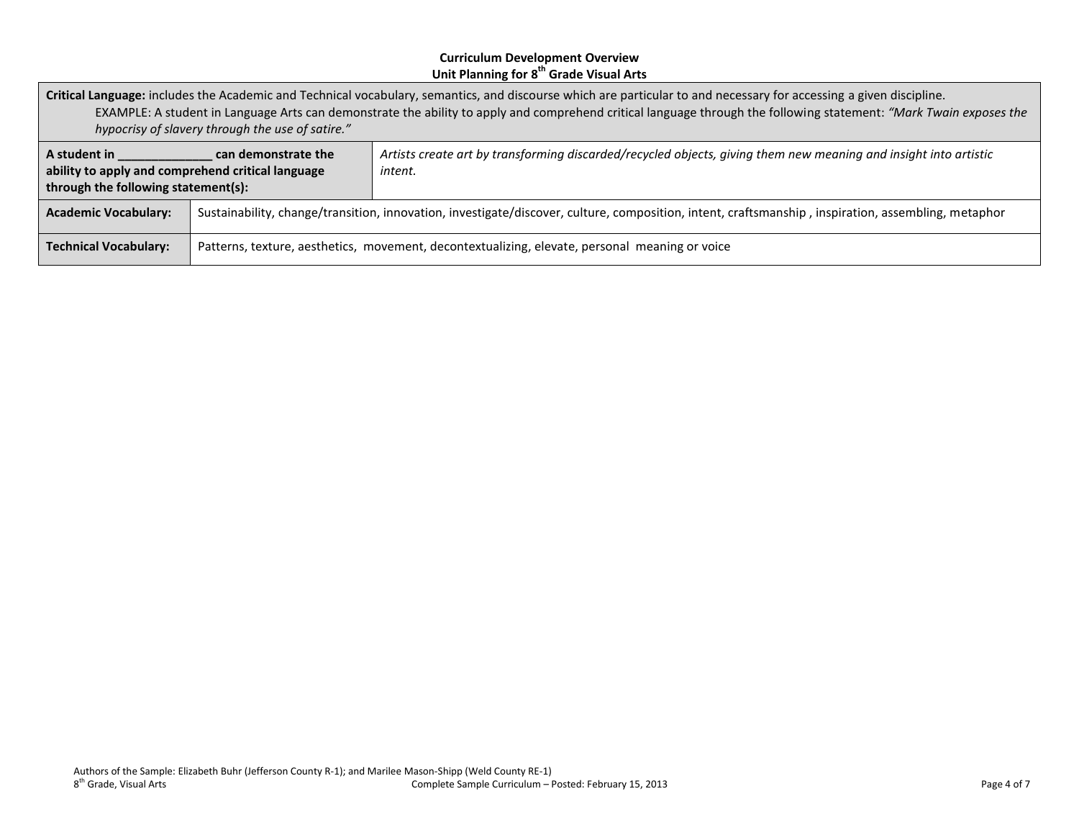**Critical Language:** includes the Academic and Technical vocabulary, semantics, and discourse which are particular to and necessary for accessing a given discipline. EXAMPLE: A student in Language Arts can demonstrate the ability to apply and comprehend critical language through the following statement: *"Mark Twain exposes the hypocrisy of slavery through the use of satire."*

| A student in<br>can demonstrate the<br>ability to apply and comprehend critical language<br>through the following statement(s): |                                                                                                                                                     | Artists create art by transforming discarded/recycled objects, giving them new meaning and insight into artistic<br>intent. |
|---------------------------------------------------------------------------------------------------------------------------------|-----------------------------------------------------------------------------------------------------------------------------------------------------|-----------------------------------------------------------------------------------------------------------------------------|
| <b>Academic Vocabulary:</b>                                                                                                     | Sustainability, change/transition, innovation, investigate/discover, culture, composition, intent, craftsmanship, inspiration, assembling, metaphor |                                                                                                                             |
| Patterns, texture, aesthetics, movement, decontextualizing, elevate, personal meaning or voice<br><b>Technical Vocabulary:</b>  |                                                                                                                                                     |                                                                                                                             |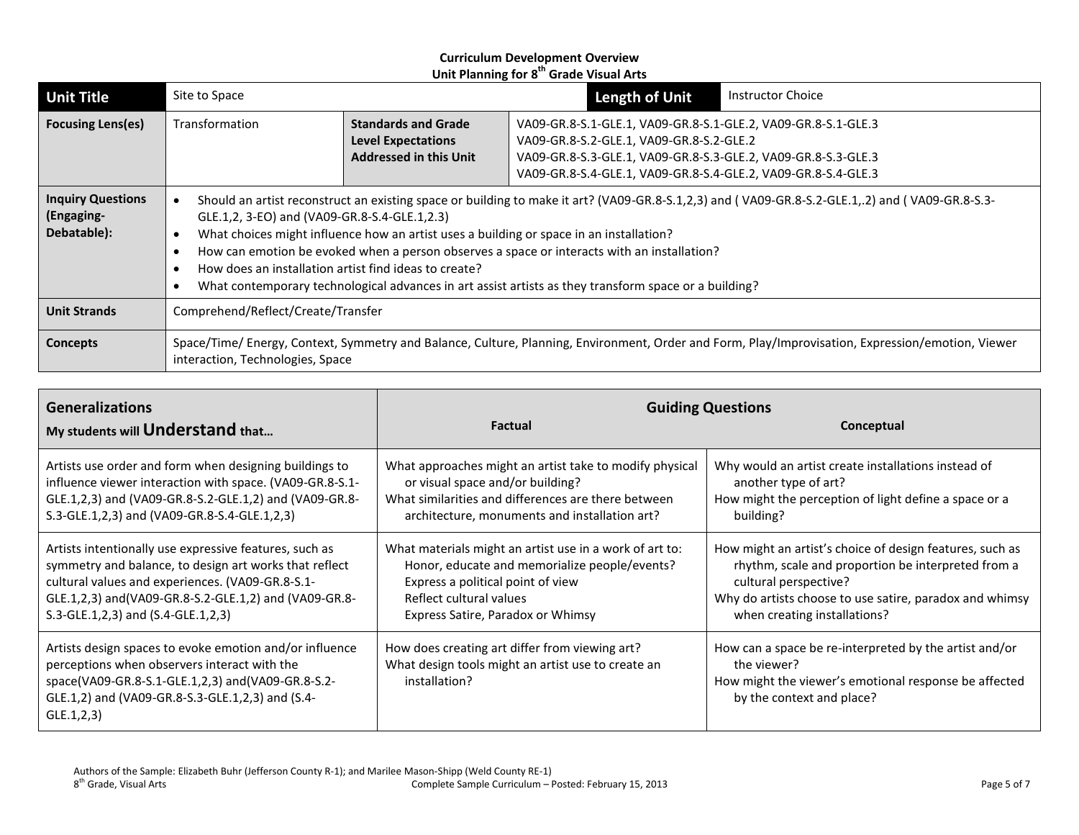| <b>Unit Title</b>                                     | Site to Space                                                                                                                                                                                                                                                                                                                                                                                                                                                                                                                                               |                                                                                          | <b>Length of Unit</b>                                                                                                                                                                                                                       | <b>Instructor Choice</b> |
|-------------------------------------------------------|-------------------------------------------------------------------------------------------------------------------------------------------------------------------------------------------------------------------------------------------------------------------------------------------------------------------------------------------------------------------------------------------------------------------------------------------------------------------------------------------------------------------------------------------------------------|------------------------------------------------------------------------------------------|---------------------------------------------------------------------------------------------------------------------------------------------------------------------------------------------------------------------------------------------|--------------------------|
| <b>Focusing Lens(es)</b>                              | Transformation                                                                                                                                                                                                                                                                                                                                                                                                                                                                                                                                              | <b>Standards and Grade</b><br><b>Level Expectations</b><br><b>Addressed in this Unit</b> | VA09-GR.8-S.1-GLE.1, VA09-GR.8-S.1-GLE.2, VA09-GR.8-S.1-GLE.3<br>VA09-GR.8-S.2-GLE.1, VA09-GR.8-S.2-GLE.2<br>VA09-GR.8-S.3-GLE.1, VA09-GR.8-S.3-GLE.2, VA09-GR.8-S.3-GLE.3<br>VA09-GR.8-S.4-GLE.1, VA09-GR.8-S.4-GLE.2, VA09-GR.8-S.4-GLE.3 |                          |
| <b>Inquiry Questions</b><br>(Engaging-<br>Debatable): | Should an artist reconstruct an existing space or building to make it art? (VA09-GR.8-S.1,2,3) and (VA09-GR.8-S.2-GLE.1,.2) and (VA09-GR.8-S.3-<br>GLE.1,2, 3-EO) and (VA09-GR.8-S.4-GLE.1,2.3)<br>What choices might influence how an artist uses a building or space in an installation?<br>How can emotion be evoked when a person observes a space or interacts with an installation?<br>How does an installation artist find ideas to create?<br>What contemporary technological advances in art assist artists as they transform space or a building? |                                                                                          |                                                                                                                                                                                                                                             |                          |
| <b>Unit Strands</b>                                   | Comprehend/Reflect/Create/Transfer                                                                                                                                                                                                                                                                                                                                                                                                                                                                                                                          |                                                                                          |                                                                                                                                                                                                                                             |                          |
| Concepts                                              | Space/Time/ Energy, Context, Symmetry and Balance, Culture, Planning, Environment, Order and Form, Play/Improvisation, Expression/emotion, Viewer<br>interaction, Technologies, Space                                                                                                                                                                                                                                                                                                                                                                       |                                                                                          |                                                                                                                                                                                                                                             |                          |

| <b>Generalizations</b><br>My students will Understand that                                                                                                                                                                       | <b>Factual</b>                                                                                                        | <b>Guiding Questions</b><br>Conceptual                                                                                                                      |
|----------------------------------------------------------------------------------------------------------------------------------------------------------------------------------------------------------------------------------|-----------------------------------------------------------------------------------------------------------------------|-------------------------------------------------------------------------------------------------------------------------------------------------------------|
| Artists use order and form when designing buildings to                                                                                                                                                                           | What approaches might an artist take to modify physical                                                               | Why would an artist create installations instead of                                                                                                         |
| influence viewer interaction with space. (VA09-GR.8-S.1-                                                                                                                                                                         | or visual space and/or building?                                                                                      | another type of art?                                                                                                                                        |
| GLE.1,2,3) and (VA09-GR.8-S.2-GLE.1,2) and (VA09-GR.8-                                                                                                                                                                           | What similarities and differences are there between                                                                   | How might the perception of light define a space or a                                                                                                       |
| S.3-GLE.1,2,3) and (VA09-GR.8-S.4-GLE.1,2,3)                                                                                                                                                                                     | architecture, monuments and installation art?                                                                         | building?                                                                                                                                                   |
| Artists intentionally use expressive features, such as                                                                                                                                                                           | What materials might an artist use in a work of art to:                                                               | How might an artist's choice of design features, such as                                                                                                    |
| symmetry and balance, to design art works that reflect                                                                                                                                                                           | Honor, educate and memorialize people/events?                                                                         | rhythm, scale and proportion be interpreted from a                                                                                                          |
| cultural values and experiences. (VA09-GR.8-S.1-                                                                                                                                                                                 | Express a political point of view                                                                                     | cultural perspective?                                                                                                                                       |
| GLE.1,2,3) and(VA09-GR.8-S.2-GLE.1,2) and (VA09-GR.8-                                                                                                                                                                            | Reflect cultural values                                                                                               | Why do artists choose to use satire, paradox and whimsy                                                                                                     |
| S.3-GLE.1,2,3) and (S.4-GLE.1,2,3)                                                                                                                                                                                               | Express Satire, Paradox or Whimsy                                                                                     | when creating installations?                                                                                                                                |
| Artists design spaces to evoke emotion and/or influence<br>perceptions when observers interact with the<br>space(VA09-GR.8-S.1-GLE.1,2,3) and(VA09-GR.8-S.2-<br>GLE.1,2) and (VA09-GR.8-S.3-GLE.1,2,3) and (S.4-<br>GLE.1, 2, 3) | How does creating art differ from viewing art?<br>What design tools might an artist use to create an<br>installation? | How can a space be re-interpreted by the artist and/or<br>the viewer?<br>How might the viewer's emotional response be affected<br>by the context and place? |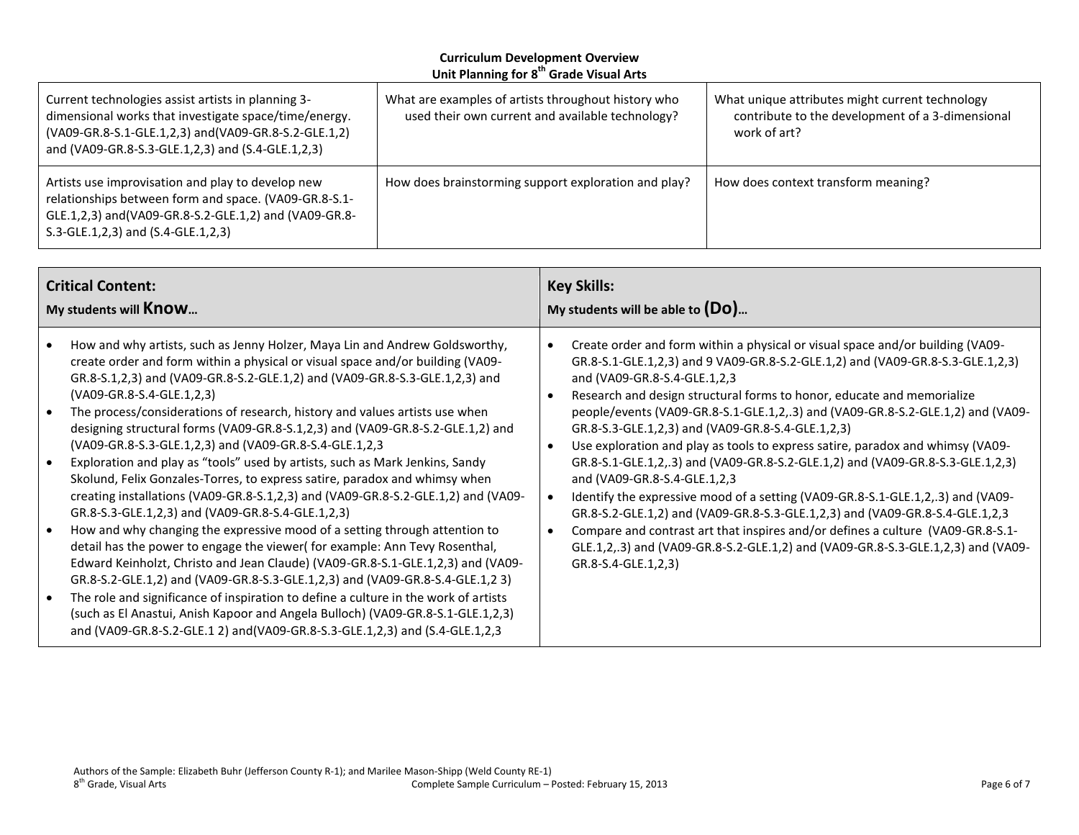| Current technologies assist artists in planning 3-<br>dimensional works that investigate space/time/energy.<br>(VA09-GR.8-S.1-GLE.1,2,3) and (VA09-GR.8-S.2-GLE.1,2)<br>and (VA09-GR.8-S.3-GLE.1,2,3) and (S.4-GLE.1,2,3) | What are examples of artists throughout history who<br>used their own current and available technology? | What unique attributes might current technology<br>contribute to the development of a 3-dimensional<br>work of art? |
|---------------------------------------------------------------------------------------------------------------------------------------------------------------------------------------------------------------------------|---------------------------------------------------------------------------------------------------------|---------------------------------------------------------------------------------------------------------------------|
| Artists use improvisation and play to develop new<br>relationships between form and space. (VA09-GR.8-S.1-<br>GLE.1,2,3) and(VA09-GR.8-S.2-GLE.1,2) and (VA09-GR.8-<br>S.3-GLE.1,2,3) and (S.4-GLE.1,2,3)                 | How does brainstorming support exploration and play?                                                    | How does context transform meaning?                                                                                 |

| <b>Critical Content:</b>                                                                                                                                                                                                                                                                                                                                                                                                                                                                                                                                                                                                                                                                                                                                                                                                                                                                                                                                                                                                                                                                                                                                                                                                                                                                                                                                                                                                                                     | <b>Key Skills:</b>                                                                                                                                                                                                                                                                                                                                                                                                                                                                                                                                                                                                                                                                                                                                                                                                                                                                                                                                                                      |  |
|--------------------------------------------------------------------------------------------------------------------------------------------------------------------------------------------------------------------------------------------------------------------------------------------------------------------------------------------------------------------------------------------------------------------------------------------------------------------------------------------------------------------------------------------------------------------------------------------------------------------------------------------------------------------------------------------------------------------------------------------------------------------------------------------------------------------------------------------------------------------------------------------------------------------------------------------------------------------------------------------------------------------------------------------------------------------------------------------------------------------------------------------------------------------------------------------------------------------------------------------------------------------------------------------------------------------------------------------------------------------------------------------------------------------------------------------------------------|-----------------------------------------------------------------------------------------------------------------------------------------------------------------------------------------------------------------------------------------------------------------------------------------------------------------------------------------------------------------------------------------------------------------------------------------------------------------------------------------------------------------------------------------------------------------------------------------------------------------------------------------------------------------------------------------------------------------------------------------------------------------------------------------------------------------------------------------------------------------------------------------------------------------------------------------------------------------------------------------|--|
| My students will <b>Know</b>                                                                                                                                                                                                                                                                                                                                                                                                                                                                                                                                                                                                                                                                                                                                                                                                                                                                                                                                                                                                                                                                                                                                                                                                                                                                                                                                                                                                                                 | My students will be able to $(Do)$                                                                                                                                                                                                                                                                                                                                                                                                                                                                                                                                                                                                                                                                                                                                                                                                                                                                                                                                                      |  |
| How and why artists, such as Jenny Holzer, Maya Lin and Andrew Goldsworthy,<br>create order and form within a physical or visual space and/or building (VA09-<br>GR.8-S.1,2,3) and (VA09-GR.8-S.2-GLE.1,2) and (VA09-GR.8-S.3-GLE.1,2,3) and<br>(VA09-GR.8-S.4-GLE.1,2,3)<br>The process/considerations of research, history and values artists use when<br>$\bullet$<br>designing structural forms (VA09-GR.8-S.1,2,3) and (VA09-GR.8-S.2-GLE.1,2) and<br>(VA09-GR.8-S.3-GLE.1,2,3) and (VA09-GR.8-S.4-GLE.1,2,3<br>Exploration and play as "tools" used by artists, such as Mark Jenkins, Sandy<br>$\bullet$<br>Skolund, Felix Gonzales-Torres, to express satire, paradox and whimsy when<br>creating installations (VA09-GR.8-S.1,2,3) and (VA09-GR.8-S.2-GLE.1,2) and (VA09-<br>GR.8-S.3-GLE.1,2,3) and (VA09-GR.8-S.4-GLE.1,2,3)<br>How and why changing the expressive mood of a setting through attention to<br>$\bullet$<br>detail has the power to engage the viewer (for example: Ann Tevy Rosenthal,<br>Edward Keinholzt, Christo and Jean Claude) (VA09-GR.8-S.1-GLE.1,2,3) and (VA09-<br>GR.8-S.2-GLE.1,2) and (VA09-GR.8-S.3-GLE.1,2,3) and (VA09-GR.8-S.4-GLE.1,2 3)<br>The role and significance of inspiration to define a culture in the work of artists<br>$\bullet$<br>(such as El Anastui, Anish Kapoor and Angela Bulloch) (VA09-GR.8-S.1-GLE.1,2,3)<br>and (VA09-GR.8-S.2-GLE.1 2) and (VA09-GR.8-S.3-GLE.1,2,3) and (S.4-GLE.1,2,3) | Create order and form within a physical or visual space and/or building (VA09-<br>GR.8-S.1-GLE.1,2,3) and 9 VA09-GR.8-S.2-GLE.1,2) and (VA09-GR.8-S.3-GLE.1,2,3)<br>and (VA09-GR.8-S.4-GLE.1,2,3<br>Research and design structural forms to honor, educate and memorialize<br>people/events (VA09-GR.8-S.1-GLE.1,2,.3) and (VA09-GR.8-S.2-GLE.1,2) and (VA09-<br>GR.8-S.3-GLE.1,2,3) and (VA09-GR.8-S.4-GLE.1,2,3)<br>Use exploration and play as tools to express satire, paradox and whimsy (VA09-<br>GR.8-S.1-GLE.1,2,.3) and (VA09-GR.8-S.2-GLE.1,2) and (VA09-GR.8-S.3-GLE.1,2,3)<br>and (VA09-GR.8-S.4-GLE.1,2,3<br>Identify the expressive mood of a setting (VA09-GR.8-S.1-GLE.1,2,.3) and (VA09-<br>GR.8-S.2-GLE.1,2) and (VA09-GR.8-S.3-GLE.1,2,3) and (VA09-GR.8-S.4-GLE.1,2,3<br>Compare and contrast art that inspires and/or defines a culture (VA09-GR.8-S.1-<br>GLE.1,2,.3) and (VA09-GR.8-S.2-GLE.1,2) and (VA09-GR.8-S.3-GLE.1,2,3) and (VA09-<br>GR.8-S.4-GLE.1,2,3) |  |